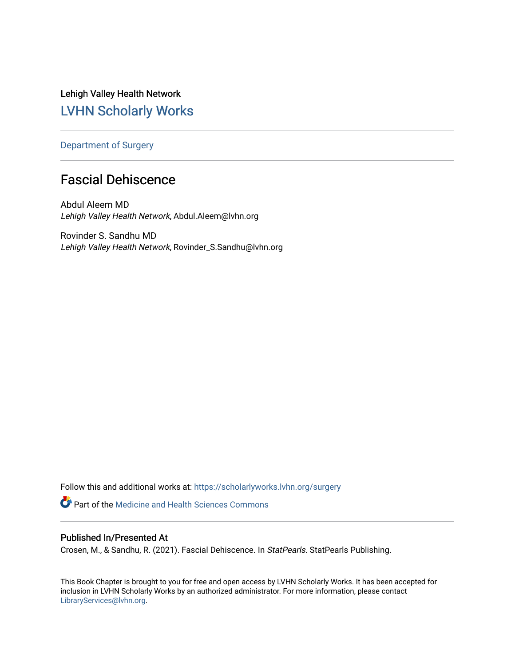Lehigh Valley Health Network [LVHN Scholarly Works](https://scholarlyworks.lvhn.org/)

[Department of Surgery](https://scholarlyworks.lvhn.org/surgery) 

# Fascial Dehiscence

Abdul Aleem MD Lehigh Valley Health Network, Abdul.Aleem@lvhn.org

Rovinder S. Sandhu MD Lehigh Valley Health Network, Rovinder\_S.Sandhu@lvhn.org

Follow this and additional works at: [https://scholarlyworks.lvhn.org/surgery](https://scholarlyworks.lvhn.org/surgery?utm_source=scholarlyworks.lvhn.org%2Fsurgery%2F1764&utm_medium=PDF&utm_campaign=PDFCoverPages) **Part of the Medicine and Health Sciences Commons** 

# Published In/Presented At

Crosen, M., & Sandhu, R. (2021). Fascial Dehiscence. In StatPearls. StatPearls Publishing.

This Book Chapter is brought to you for free and open access by LVHN Scholarly Works. It has been accepted for inclusion in LVHN Scholarly Works by an authorized administrator. For more information, please contact [LibraryServices@lvhn.org](mailto:LibraryServices@lvhn.org).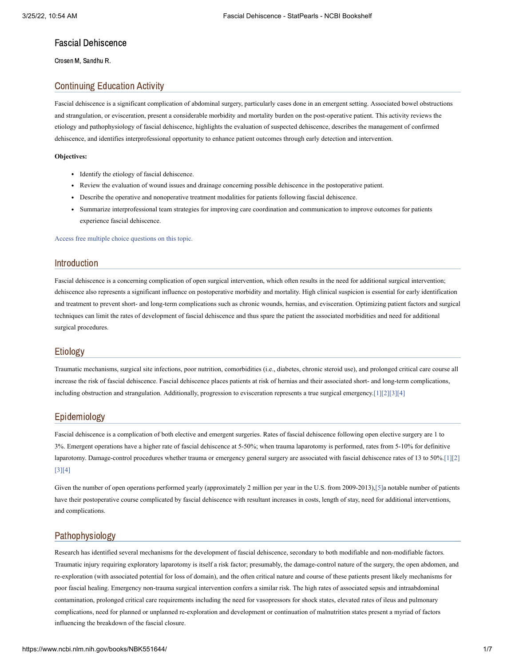# Fascial Dehiscence

Crosen M, Sandhu R.

## Continuing Education Activity

Fascial dehiscence is a significant complication of abdominal surgery, particularly cases done in an emergent setting. Associated bowel obstructions and strangulation, or evisceration, present a considerable morbidity and mortality burden on the post-operative patient. This activity reviews the etiology and pathophysiology of fascial dehiscence, highlights the evaluation of suspected dehiscence, describes the management of confirmed dehiscence, and identifies interprofessional opportunity to enhance patient outcomes through early detection and intervention.

#### **Objectives:**

- Identify the etiology of fascial dehiscence.
- Review the evaluation of wound issues and drainage concerning possible dehiscence in the postoperative patient.
- Describe the operative and nonoperative treatment modalities for patients following fascial dehiscence.
- Summarize interprofessional team strategies for improving care coordination and communication to improve outcomes for patients experience fascial dehiscence.

Access free multiple choice [questions](https://www.statpearls.com/account/trialuserreg/?articleid=21625&utm_source=pubmed&utm_campaign=reviews&utm_content=21625) on this topic.

## Introduction

Fascial dehiscence is a concerning complication of open surgical intervention, which often results in the need for additional surgical intervention; dehiscence also represents a significant influence on postoperative morbidity and mortality. High clinical suspicion is essential for early identification and treatment to prevent short- and long-term complications such as chronic wounds, hernias, and evisceration. Optimizing patient factors and surgical techniques can limit the rates of development of fascial dehiscence and thus spare the patient the associated morbidities and need for additional surgical procedures.

## Etiology

Traumatic mechanisms, surgical site infections, poor nutrition, comorbidities (i.e., diabetes, chronic steroid use), and prolonged critical care course all increase the risk of fascial dehiscence. Fascial dehiscence places patients at risk of hernias and their associated short- and long-term complications, including obstruction and strangulation. Additionally, progression to evisceration represents a true surgical emergency[.\[1\]](#page-5-0)[\[2\]](#page-5-1)[\[3\]](#page-5-2)[\[4\]](#page-6-0)

## Epidemiology

Fascial dehiscence is a complication of both elective and emergent surgeries. Rates of fascial dehiscence following open elective surgery are 1 to 3%. Emergent operations have a higher rate of fascial dehiscence at 5-50%; when trauma laparotomy is performed, rates from 5-10% for definitive laparotomy. Damage-control procedures whether trauma or emergency general surgery are associated with fascial dehiscence rates of 13 to 50%[.\[1\]](#page-5-0)[\[2\]](#page-5-1) [\[3\]](#page-5-2)[\[4\]](#page-6-0)

Given the number of open operations performed yearly (approximately 2 million per year in the U.S. from 2009-2013),[\[5\]a](#page-6-1) notable number of patients have their postoperative course complicated by fascial dehiscence with resultant increases in costs, length of stay, need for additional interventions, and complications.

# Pathophysiology

Research has identified several mechanisms for the development of fascial dehiscence, secondary to both modifiable and non-modifiable factors. Traumatic injury requiring exploratory laparotomy is itself a risk factor; presumably, the damage-control nature of the surgery, the open abdomen, and re-exploration (with associated potential for loss of domain), and the often critical nature and course of these patients present likely mechanisms for poor fascial healing. Emergency non-trauma surgical intervention confers a similar risk. The high rates of associated sepsis and intraabdominal contamination, prolonged critical care requirements including the need for vasopressors for shock states, elevated rates of ileus and pulmonary complications, need for planned or unplanned re-exploration and development or continuation of malnutrition states present a myriad of factors influencing the breakdown of the fascial closure.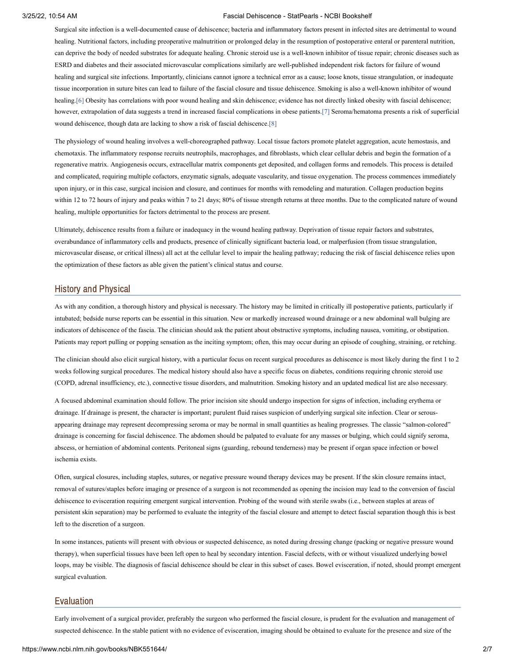Surgical site infection is a well-documented cause of dehiscence; bacteria and inflammatory factors present in infected sites are detrimental to wound healing. Nutritional factors, including preoperative malnutrition or prolonged delay in the resumption of postoperative enteral or parenteral nutrition, can deprive the body of needed substrates for adequate healing. Chronic steroid use is a well-known inhibitor of tissue repair; chronic diseases such as ESRD and diabetes and their associated microvascular complications similarly are well-published independent risk factors for failure of wound healing and surgical site infections. Importantly, clinicians cannot ignore a technical error as a cause; loose knots, tissue strangulation, or inadequate tissue incorporation in suture bites can lead to failure of the fascial closure and tissue dehiscence. Smoking is also a well-known inhibitor of wound healing[.\[6\]](#page-6-2) Obesity has correlations with poor wound healing and skin dehiscence; evidence has not directly linked obesity with fascial dehiscence; however, extrapolation of data suggests a trend in increased fascial complications in obese patients.[\[7\]](#page-6-3) Seroma/hematoma presents a risk of superficial wound dehiscence, though data are lacking to show a risk of fascial dehiscence.[\[8\]](#page-6-4)

The physiology of wound healing involves a well-choreographed pathway. Local tissue factors promote platelet aggregation, acute hemostasis, and chemotaxis. The inflammatory response recruits neutrophils, macrophages, and fibroblasts, which clear cellular debris and begin the formation of a regenerative matrix. Angiogenesis occurs, extracellular matrix components get deposited, and collagen forms and remodels. This process is detailed and complicated, requiring multiple cofactors, enzymatic signals, adequate vascularity, and tissue oxygenation. The process commences immediately upon injury, or in this case, surgical incision and closure, and continues for months with remodeling and maturation. Collagen production begins within 12 to 72 hours of injury and peaks within 7 to 21 days; 80% of tissue strength returns at three months. Due to the complicated nature of wound healing, multiple opportunities for factors detrimental to the process are present.

Ultimately, dehiscence results from a failure or inadequacy in the wound healing pathway. Deprivation of tissue repair factors and substrates, overabundance of inflammatory cells and products, presence of clinically significant bacteria load, or malperfusion (from tissue strangulation, microvascular disease, or critical illness) all act at the cellular level to impair the healing pathway; reducing the risk of fascial dehiscence relies upon the optimization of these factors as able given the patient's clinical status and course.

## History and Physical

As with any condition, a thorough history and physical is necessary. The history may be limited in critically ill postoperative patients, particularly if intubated; bedside nurse reports can be essential in this situation. New or markedly increased wound drainage or a new abdominal wall bulging are indicators of dehiscence of the fascia. The clinician should ask the patient about obstructive symptoms, including nausea, vomiting, or obstipation. Patients may report pulling or popping sensation as the inciting symptom; often, this may occur during an episode of coughing, straining, or retching.

The clinician should also elicit surgical history, with a particular focus on recent surgical procedures as dehiscence is most likely during the first 1 to 2 weeks following surgical procedures. The medical history should also have a specific focus on diabetes, conditions requiring chronic steroid use (COPD, adrenal insufficiency, etc.), connective tissue disorders, and malnutrition. Smoking history and an updated medical list are also necessary.

A focused abdominal examination should follow. The prior incision site should undergo inspection for signs of infection, including erythema or drainage. If drainage is present, the character is important; purulent fluid raises suspicion of underlying surgical site infection. Clear or serousappearing drainage may represent decompressing seroma or may be normal in small quantities as healing progresses. The classic "salmon-colored" drainage is concerning for fascial dehiscence. The abdomen should be palpated to evaluate for any masses or bulging, which could signify seroma, abscess, or herniation of abdominal contents. Peritoneal signs (guarding, rebound tenderness) may be present if organ space infection or bowel ischemia exists.

Often, surgical closures, including staples, sutures, or negative pressure wound therapy devices may be present. If the skin closure remains intact, removal of sutures/staples before imaging or presence of a surgeon is not recommended as opening the incision may lead to the conversion of fascial dehiscence to evisceration requiring emergent surgical intervention. Probing of the wound with sterile swabs (i.e., between staples at areas of persistent skin separation) may be performed to evaluate the integrity of the fascial closure and attempt to detect fascial separation though this is best left to the discretion of a surgeon.

In some instances, patients will present with obvious or suspected dehiscence, as noted during dressing change (packing or negative pressure wound therapy), when superficial tissues have been left open to heal by secondary intention. Fascial defects, with or without visualized underlying bowel loops, may be visible. The diagnosis of fascial dehiscence should be clear in this subset of cases. Bowel evisceration, if noted, should prompt emergent surgical evaluation.

#### Evaluation

Early involvement of a surgical provider, preferably the surgeon who performed the fascial closure, is prudent for the evaluation and management of suspected dehiscence. In the stable patient with no evidence of evisceration, imaging should be obtained to evaluate for the presence and size of the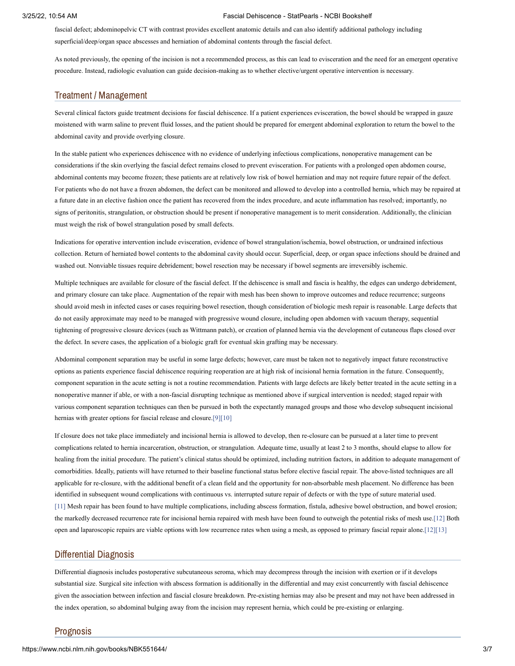fascial defect; abdominopelvic CT with contrast provides excellent anatomic details and can also identify additional pathology including superficial/deep/organ space abscesses and herniation of abdominal contents through the fascial defect.

As noted previously, the opening of the incision is not a recommended process, as this can lead to evisceration and the need for an emergent operative procedure. Instead, radiologic evaluation can guide decision-making as to whether elective/urgent operative intervention is necessary.

#### Treatment / Management

Several clinical factors guide treatment decisions for fascial dehiscence. If a patient experiences evisceration, the bowel should be wrapped in gauze moistened with warm saline to prevent fluid losses, and the patient should be prepared for emergent abdominal exploration to return the bowel to the abdominal cavity and provide overlying closure.

In the stable patient who experiences dehiscence with no evidence of underlying infectious complications, nonoperative management can be considerations if the skin overlying the fascial defect remains closed to prevent evisceration. For patients with a prolonged open abdomen course, abdominal contents may become frozen; these patients are at relatively low risk of bowel herniation and may not require future repair of the defect. For patients who do not have a frozen abdomen, the defect can be monitored and allowed to develop into a controlled hernia, which may be repaired at a future date in an elective fashion once the patient has recovered from the index procedure, and acute inflammation has resolved; importantly, no signs of peritonitis, strangulation, or obstruction should be present if nonoperative management is to merit consideration. Additionally, the clinician must weigh the risk of bowel strangulation posed by small defects.

Indications for operative intervention include evisceration, evidence of bowel strangulation/ischemia, bowel obstruction, or undrained infectious collection. Return of herniated bowel contents to the abdominal cavity should occur. Superficial, deep, or organ space infections should be drained and washed out. Nonviable tissues require debridement; bowel resection may be necessary if bowel segments are irreversibly ischemic.

Multiple techniques are available for closure of the fascial defect. If the dehiscence is small and fascia is healthy, the edges can undergo debridement, and primary closure can take place. Augmentation of the repair with mesh has been shown to improve outcomes and reduce recurrence; surgeons should avoid mesh in infected cases or cases requiring bowel resection, though consideration of biologic mesh repair is reasonable. Large defects that do not easily approximate may need to be managed with progressive wound closure, including open abdomen with vacuum therapy, sequential tightening of progressive closure devices (such as Wittmann patch), or creation of planned hernia via the development of cutaneous flaps closed over the defect. In severe cases, the application of a biologic graft for eventual skin grafting may be necessary.

Abdominal component separation may be useful in some large defects; however, care must be taken not to negatively impact future reconstructive options as patients experience fascial dehiscence requiring reoperation are at high risk of incisional hernia formation in the future. Consequently, component separation in the acute setting is not a routine recommendation. Patients with large defects are likely better treated in the acute setting in a nonoperative manner if able, or with a non-fascial disrupting technique as mentioned above if surgical intervention is needed; staged repair with various component separation techniques can then be pursued in both the expectantly managed groups and those who develop subsequent incisional hernias with greater options for fascial release and closure.<sup>[9][\[10\]](#page-6-6)</sup>

If closure does not take place immediately and incisional hernia is allowed to develop, then re-closure can be pursued at a later time to prevent complications related to hernia incarceration, obstruction, or strangulation. Adequate time, usually at least 2 to 3 months, should elapse to allow for healing from the initial procedure. The patient's clinical status should be optimized, including nutrition factors, in addition to adequate management of comorbidities. Ideally, patients will have returned to their baseline functional status before elective fascial repair. The above-listed techniques are all applicable for re-closure, with the additional benefit of a clean field and the opportunity for non-absorbable mesh placement. No difference has been identified in subsequent wound complications with continuous vs. interrupted suture repair of defects or with the type of suture material used. [\[11\]](#page-6-7) Mesh repair has been found to have multiple complications, including abscess formation, fistula, adhesive bowel obstruction, and bowel erosion; the markedly decreased recurrence rate for incisional hernia repaired with mesh have been found to outweigh the potential risks of mesh use.[\[12\]](#page-6-8) Both open and laparoscopic repairs are viable options with low recurrence rates when using a mesh, as opposed to primary fascial repair alone[.\[12\]](#page-6-8)[\[13\]](#page-6-9)

## Differential Diagnosis

Differential diagnosis includes postoperative subcutaneous seroma, which may decompress through the incision with exertion or if it develops substantial size. Surgical site infection with abscess formation is additionally in the differential and may exist concurrently with fascial dehiscence given the association between infection and fascial closure breakdown. Pre-existing hernias may also be present and may not have been addressed in the index operation, so abdominal bulging away from the incision may represent hernia, which could be pre-existing or enlarging.

## Prognosis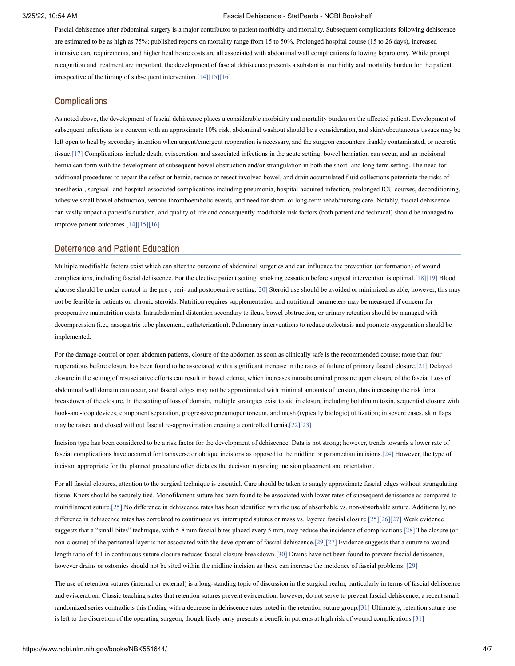Fascial dehiscence after abdominal surgery is a major contributor to patient morbidity and mortality. Subsequent complications following dehiscence are estimated to be as high as 75%; published reports on mortality range from 15 to 50%. Prolonged hospital course (15 to 26 days), increased intensive care requirements, and higher healthcare costs are all associated with abdominal wall complications following laparotomy. While prompt recognition and treatment are important, the development of fascial dehiscence presents a substantial morbidity and mortality burden for the patient irrespective of the timing of subsequent intervention[.\[14\]](#page-6-10)[\[15\]](#page-6-11)[\[16\]](#page-6-12)

## **Complications**

As noted above, the development of fascial dehiscence places a considerable morbidity and mortality burden on the affected patient. Development of subsequent infections is a concern with an approximate 10% risk; abdominal washout should be a consideration, and skin/subcutaneous tissues may be left open to heal by secondary intention when urgent/emergent reoperation is necessary, and the surgeon encounters frankly contaminated, or necrotic tissue[.\[17\]](#page-6-13) Complications include death, evisceration, and associated infections in the acute setting; bowel herniation can occur, and an incisional hernia can form with the development of subsequent bowel obstruction and/or strangulation in both the short- and long-term setting. The need for additional procedures to repair the defect or hernia, reduce or resect involved bowel, and drain accumulated fluid collections potentiate the risks of anesthesia-, surgical- and hospital-associated complications including pneumonia, hospital-acquired infection, prolonged ICU courses, deconditioning, adhesive small bowel obstruction, venous thromboembolic events, and need for short- or long-term rehab/nursing care. Notably, fascial dehiscence can vastly impact a patient's duration, and quality of life and consequently modifiable risk factors (both patient and technical) should be managed to improve patient outcomes[.\[14\]](#page-6-10)[\[15\]](#page-6-11)[\[16\]](#page-6-12)

## Deterrence and Patient Education

Multiple modifiable factors exist which can alter the outcome of abdominal surgeries and can influence the prevention (or formation) of wound complications, including fascial dehiscence. For the elective patient setting, smoking cessation before surgical intervention is optimal[.\[18\]](#page-6-14)[\[19\]](#page-6-15) Blood glucose should be under control in the pre-, peri- and postoperative setting[.\[20\]](#page-6-16) Steroid use should be avoided or minimized as able; however, this may not be feasible in patients on chronic steroids. Nutrition requires supplementation and nutritional parameters may be measured if concern for preoperative malnutrition exists. Intraabdominal distention secondary to ileus, bowel obstruction, or urinary retention should be managed with decompression (i.e., nasogastric tube placement, catheterization). Pulmonary interventions to reduce atelectasis and promote oxygenation should be implemented.

For the damage-control or open abdomen patients, closure of the abdomen as soon as clinically safe is the recommended course; more than four reoperations before closure has been found to be associated with a significant increase in the rates of failure of primary fascial closure[.\[21\]](#page-6-17) Delayed closure in the setting of resuscitative efforts can result in bowel edema, which increases intraabdominal pressure upon closure of the fascia. Loss of abdominal wall domain can occur, and fascial edges may not be approximated with minimal amounts of tension, thus increasing the risk for a breakdown of the closure. In the setting of loss of domain, multiple strategies exist to aid in closure including botulinum toxin, sequential closure with hook-and-loop devices, component separation, progressive pneumoperitoneum, and mesh (typically biologic) utilization; in severe cases, skin flaps may be raised and closed without fascial re-approximation creating a controlled hernia.[\[22\]](#page-6-18)[\[23\]](#page-6-19)

Incision type has been considered to be a risk factor for the development of dehiscence. Data is not strong; however, trends towards a lower rate of fascial complications have occurred for transverse or oblique incisions as opposed to the midline or paramedian incisions.[\[24\]](#page-6-20) However, the type of incision appropriate for the planned procedure often dictates the decision regarding incision placement and orientation.

For all fascial closures, attention to the surgical technique is essential. Care should be taken to snugly approximate fascial edges without strangulating tissue. Knots should be securely tied. Monofilament suture has been found to be associated with lower rates of subsequent dehiscence as compared to multifilament suture[.\[25\]](#page-6-21) No difference in dehiscence rates has been identified with the use of absorbable vs. non-absorbable suture. Additionally, no difference in dehiscence rates has correlated to continuous vs. interrupted sutures or mass vs. layered fascial closure.[\[25\]](#page-6-21)[\[26\]](#page-6-22)[\[27\]](#page-7-0) Weak evidence suggests that a "small-bites" technique, with 5-8 mm fascial bites placed every 5 mm, may reduce the incidence of complications[.\[28\]](#page-7-1) The closure (or non-closure) of the peritoneal layer is not associated with the development of fascial dehiscence[.\[29\]](#page-7-2)[\[27\]](#page-7-0) Evidence suggests that a suture to wound length ratio of 4:1 in continuous suture closure reduces fascial closure breakdown[.\[30\]](#page-7-3) Drains have not been found to prevent fascial dehiscence, however drains or ostomies should not be sited within the midline incision as these can increase the incidence of fascial problems. [\[29\]](#page-7-2)

The use of retention sutures (internal or external) is a long-standing topic of discussion in the surgical realm, particularly in terms of fascial dehiscence and evisceration. Classic teaching states that retention sutures prevent evisceration, however, do not serve to prevent fascial dehiscence; a recent small randomized series contradicts this finding with a decrease in dehiscence rates noted in the retention suture group[.\[31\]](#page-7-4) Ultimately, retention suture use is left to the discretion of the operating surgeon, though likely only presents a benefit in patients at high risk of wound complications[.\[31\]](#page-7-4)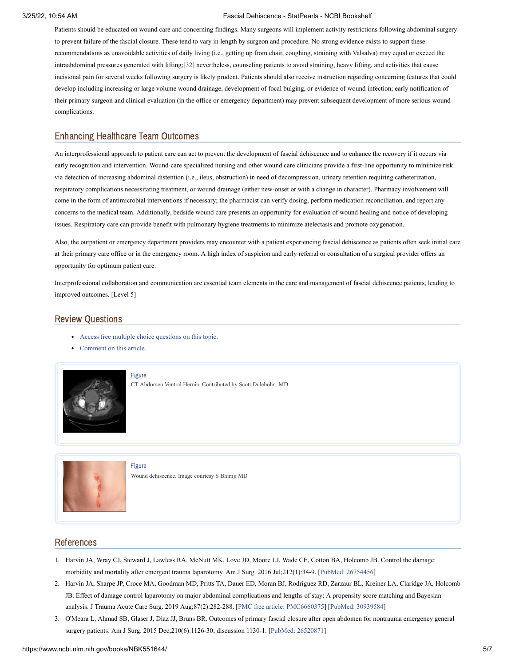Patients should be educated on wound care and concerning findings. Many surgeons will implement activity restrictions following abdominal surgery to prevent failure of the fascial closure. These tend to vary in length by surgeon and procedure. No strong evidence exists to support these recommendations as unavoidable activities of daily living (i.e., getting up from chair, coughing, straining with Valsalva) may equal or exceed the intraabdominal pressures generated with lifting[;\[32\]](#page-7-5) nevertheless, counseling patients to avoid straining, heavy lifting, and activities that cause incisional pain for several weeks following surgery is likely prudent. Patients should also receive instruction regarding concerning features that could develop including increasing or large volume wound drainage, development of focal bulging, or evidence of wound infection; early notification of their primary surgeon and clinical evaluation (in the office or emergency department) may prevent subsequent development of more serious wound complications.

# Enhancing Healthcare Team Outcomes

An interprofessional approach to patient care can act to prevent the development of fascial dehiscence and to enhance the recovery if it occurs via early recognition and intervention. Wound-care specialized nursing and other wound care clinicians provide a first-line opportunity to minimize risk via detection of increasing abdominal distention (i.e., ileus, obstruction) in need of decompression, urinary retention requiring catheterization, respiratory complications necessitating treatment, or wound drainage (either new-onset or with a change in character). Pharmacy involvement will come in the form of antimicrobial interventions if necessary; the pharmacist can verify dosing, perform medication reconciliation, and report any concerns to the medical team. Additionally, bedside wound care presents an opportunity for evaluation of wound healing and notice of developing issues. Respiratory care can provide benefit with pulmonary hygiene treatments to minimize atelectasis and promote oxygenation.

Also, the outpatient or emergency department providers may encounter with a patient experiencing fascial dehiscence as patients often seek initial care at their primary care office or in the emergency room. A high index of suspicion and early referral or consultation of a surgical provider offers an opportunity for optimum patient care.

Interprofessional collaboration and communication are essential team elements in the care and management of fascial dehiscence patients, leading to improved outcomes. [Level 5]

# Review Questions

- Access free multiple choice [questions](https://www.statpearls.com/account/trialuserreg/?articleid=21625&utm_source=pubmed&utm_campaign=reviews&utm_content=21625) on this topic.
- [Comment](https://www.statpearls.com/articlelibrary/commentarticle/21625/?utm_source=pubmed&utm_campaign=comments&utm_content=21625) on this article.



[Figure](https://www.ncbi.nlm.nih.gov/books/NBK551644/figure/article-21625.image.f1/?report=objectonly)

CT Abdomen Ventral Hernia. Contributed by Scott Dulebohn, MD



[Figure](https://www.ncbi.nlm.nih.gov/books/NBK551644/figure/article-21625.image.f2/?report=objectonly) Wound dehiscence. Image courtesy S Bhimji MD

# References

- <span id="page-5-0"></span>1. Harvin JA, Wray CJ, Steward J, Lawless RA, McNutt MK, Love JD, Moore LJ, Wade CE, Cotton BA, Holcomb JB. Control the damage: morbidity and mortality after emergent trauma laparotomy. Am J Surg. 2016 Jul;212(1):34-9. [PubMed: [26754456](https://www.ncbi.nlm.nih.gov/pubmed/26754456)]
- <span id="page-5-1"></span>2. Harvin JA, Sharpe JP, Croce MA, Goodman MD, Pritts TA, Dauer ED, Moran BJ, Rodriguez RD, Zarzaur BL, Kreiner LA, Claridge JA, Holcomb JB. Effect of damage control laparotomy on major abdominal complications and lengths of stay: A propensity score matching and Bayesian analysis. J Trauma Acute Care Surg. 2019 Aug;87(2):282-288. [PMC free article: [PMC6660375](https://www.ncbi.nlm.nih.gov/pmc/articles/PMC6660375/?report=reader)] [PubMed: [30939584](https://www.ncbi.nlm.nih.gov/pubmed/30939584)]
- <span id="page-5-2"></span>3. O'Meara L, Ahmad SB, Glaser J, Diaz JJ, Bruns BR. Outcomes of primary fascial closure after open abdomen for nontrauma emergency general surgery patients. Am J Surg. 2015 Dec;210(6):1126-30; discussion 1130-1. [PubMed: [26520871](https://www.ncbi.nlm.nih.gov/pubmed/26520871)]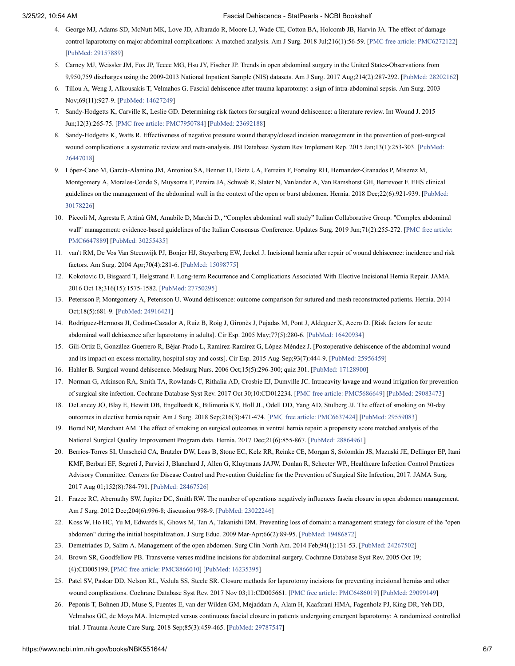- <span id="page-6-0"></span>4. George MJ, Adams SD, McNutt MK, Love JD, Albarado R, Moore LJ, Wade CE, Cotton BA, Holcomb JB, Harvin JA. The effect of damage control laparotomy on major abdominal complications: A matched analysis. Am J Surg. 2018 Jul;216(1):56-59. [PMC free article: [PMC6272122\]](https://www.ncbi.nlm.nih.gov/pmc/articles/PMC6272122/?report=reader) [PubMed: [29157889\]](https://www.ncbi.nlm.nih.gov/pubmed/29157889)
- <span id="page-6-1"></span>5. Carney MJ, Weissler JM, Fox JP, Tecce MG, Hsu JY, Fischer JP. Trends in open abdominal surgery in the United States-Observations from 9,950,759 discharges using the 2009-2013 National Inpatient Sample (NIS) datasets. Am J Surg. 2017 Aug;214(2):287-292. [PubMed: [28202162\]](https://www.ncbi.nlm.nih.gov/pubmed/28202162)
- <span id="page-6-2"></span>6. Tillou A, Weng J, Alkousakis T, Velmahos G. Fascial dehiscence after trauma laparotomy: a sign of intra-abdominal sepsis. Am Surg. 2003 Nov;69(11):927-9. [PubMed: [14627249](https://www.ncbi.nlm.nih.gov/pubmed/14627249)]
- <span id="page-6-3"></span>7. Sandy-Hodgetts K, Carville K, Leslie GD. Determining risk factors for surgical wound dehiscence: a literature review. Int Wound J. 2015 Jun;12(3):265-75. [PMC free article: [PMC7950784](https://www.ncbi.nlm.nih.gov/pmc/articles/PMC7950784/?report=reader)] [PubMed: [23692188\]](https://www.ncbi.nlm.nih.gov/pubmed/23692188)
- <span id="page-6-4"></span>8. Sandy-Hodgetts K, Watts R. Effectiveness of negative pressure wound therapy/closed incision management in the prevention of post-surgical wound complications: a systematic review and meta-analysis. JBI Database System Rev Implement Rep. 2015 [Jan;13\(1\):253-303.](https://www.ncbi.nlm.nih.gov/pubmed/26447018) [PubMed: 26447018]
- <span id="page-6-5"></span>9. López-Cano M, García-Alamino JM, Antoniou SA, Bennet D, Dietz UA, Ferreira F, Fortelny RH, Hernandez-Granados P, Miserez M, Montgomery A, Morales-Conde S, Muysoms F, Pereira JA, Schwab R, Slater N, Vanlander A, Van Ramshorst GH, Berrevoet F. EHS clinical guidelines on the management of the abdominal wall in the context of the open or burst abdomen. Hernia. 2018 [Dec;22\(6\):921-939.](https://www.ncbi.nlm.nih.gov/pubmed/30178226) [PubMed: 30178226]
- <span id="page-6-6"></span>10. Piccoli M, Agresta F, Attinà GM, Amabile D, Marchi D., "Complex abdominal wall study" Italian Collaborative Group. "Complex abdominal wall" management: evidence-based guidelines of the Italian Consensus Conference. Updates Surg. 2019 [Jun;71\(2\):255-272.](https://www.ncbi.nlm.nih.gov/pmc/articles/PMC6647889/?report=reader) [PMC free article: PMC6647889] [PubMed: [30255435\]](https://www.ncbi.nlm.nih.gov/pubmed/30255435)
- <span id="page-6-7"></span>11. van't RM, De Vos Van Steenwijk PJ, Bonjer HJ, Steyerberg EW, Jeekel J. Incisional hernia after repair of wound dehiscence: incidence and risk factors. Am Surg. 2004 Apr;70(4):281-6. [PubMed: [15098775\]](https://www.ncbi.nlm.nih.gov/pubmed/15098775)
- <span id="page-6-8"></span>12. Kokotovic D, Bisgaard T, Helgstrand F. Long-term Recurrence and Complications Associated With Elective Incisional Hernia Repair. JAMA. 2016 Oct 18;316(15):1575-1582. [PubMed: [27750295\]](https://www.ncbi.nlm.nih.gov/pubmed/27750295)
- <span id="page-6-9"></span>13. Petersson P, Montgomery A, Petersson U. Wound dehiscence: outcome comparison for sutured and mesh reconstructed patients. Hernia. 2014 Oct;18(5):681-9. [PubMed: [24916421\]](https://www.ncbi.nlm.nih.gov/pubmed/24916421)
- <span id="page-6-10"></span>14. Rodríguez-Hermosa JI, Codina-Cazador A, Ruiz B, Roig J, Gironès J, Pujadas M, Pont J, Aldeguer X, Acero D. [Risk factors for acute abdominal wall dehiscence after laparotomy in adults]. Cir Esp. 2005 May;77(5):280-6. [PubMed: [16420934](https://www.ncbi.nlm.nih.gov/pubmed/16420934)]
- <span id="page-6-11"></span>15. Gili-Ortiz E, González-Guerrero R, Béjar-Prado L, Ramírez-Ramírez G, López-Méndez J. [Postoperative dehiscence of the abdominal wound and its impact on excess mortality, hospital stay and costs]. Cir Esp. 2015 Aug-Sep;93(7):444-9. [PubMed: [25956459](https://www.ncbi.nlm.nih.gov/pubmed/25956459)]
- <span id="page-6-12"></span>16. Hahler B. Surgical wound dehiscence. Medsurg Nurs. 2006 Oct;15(5):296-300; quiz 301. [PubMed: [17128900\]](https://www.ncbi.nlm.nih.gov/pubmed/17128900)
- <span id="page-6-13"></span>17. Norman G, Atkinson RA, Smith TA, Rowlands C, Rithalia AD, Crosbie EJ, Dumville JC. Intracavity lavage and wound irrigation for prevention of surgical site infection. Cochrane Database Syst Rev. 2017 Oct 30;10:CD012234. [PMC free article: [PMC5686649\]](https://www.ncbi.nlm.nih.gov/pmc/articles/PMC5686649/?report=reader) [PubMed: [29083473\]](https://www.ncbi.nlm.nih.gov/pubmed/29083473)
- <span id="page-6-14"></span>18. DeLancey JO, Blay E, Hewitt DB, Engelhardt K, Bilimoria KY, Holl JL, Odell DD, Yang AD, Stulberg JJ. The effect of smoking on 30-day outcomes in elective hernia repair. Am J Surg. 2018 Sep;216(3):471-474. [PMC free article: [PMC6637424\]](https://www.ncbi.nlm.nih.gov/pmc/articles/PMC6637424/?report=reader) [PubMed: [29559083](https://www.ncbi.nlm.nih.gov/pubmed/29559083)]
- <span id="page-6-15"></span>19. Borad NP, Merchant AM. The effect of smoking on surgical outcomes in ventral hernia repair: a propensity score matched analysis of the National Surgical Quality Improvement Program data. Hernia. 2017 Dec;21(6):855-867. [PubMed: [28864961](https://www.ncbi.nlm.nih.gov/pubmed/28864961)]
- <span id="page-6-16"></span>20. Berríos-Torres SI, Umscheid CA, Bratzler DW, Leas B, Stone EC, Kelz RR, Reinke CE, Morgan S, Solomkin JS, Mazuski JE, Dellinger EP, Itani KMF, Berbari EF, Segreti J, Parvizi J, Blanchard J, Allen G, Kluytmans JAJW, Donlan R, Schecter WP., Healthcare Infection Control Practices Advisory Committee. Centers for Disease Control and Prevention Guideline for the Prevention of Surgical Site Infection, 2017. JAMA Surg. 2017 Aug 01;152(8):784-791. [PubMed: [28467526\]](https://www.ncbi.nlm.nih.gov/pubmed/28467526)
- <span id="page-6-17"></span>21. Frazee RC, Abernathy SW, Jupiter DC, Smith RW. The number of operations negatively influences fascia closure in open abdomen management. Am J Surg. 2012 Dec;204(6):996-8; discussion 998-9. [PubMed: [23022246\]](https://www.ncbi.nlm.nih.gov/pubmed/23022246)
- <span id="page-6-18"></span>22. Koss W, Ho HC, Yu M, Edwards K, Ghows M, Tan A, Takanishi DM. Preventing loss of domain: a management strategy for closure of the "open abdomen" during the initial hospitalization. J Surg Educ. 2009 Mar-Apr;66(2):89-95. [PubMed: [19486872](https://www.ncbi.nlm.nih.gov/pubmed/19486872)]
- <span id="page-6-19"></span>23. Demetriades D, Salim A. Management of the open abdomen. Surg Clin North Am. 2014 Feb;94(1):131-53. [PubMed: [24267502](https://www.ncbi.nlm.nih.gov/pubmed/24267502)]
- <span id="page-6-20"></span>24. Brown SR, Goodfellow PB. Transverse verses midline incisions for abdominal surgery. Cochrane Database Syst Rev. 2005 Oct 19; (4):CD005199. [PMC free article: [PMC8866010\]](https://www.ncbi.nlm.nih.gov/pmc/articles/PMC8866010/?report=reader) [PubMed: [16235395\]](https://www.ncbi.nlm.nih.gov/pubmed/16235395)
- <span id="page-6-21"></span>25. Patel SV, Paskar DD, Nelson RL, Vedula SS, Steele SR. Closure methods for laparotomy incisions for preventing incisional hernias and other wound complications. Cochrane Database Syst Rev. 2017 Nov 03;11:CD005661. [PMC free article: [PMC6486019](https://www.ncbi.nlm.nih.gov/pmc/articles/PMC6486019/?report=reader)] [PubMed: [29099149\]](https://www.ncbi.nlm.nih.gov/pubmed/29099149)
- <span id="page-6-22"></span>26. Peponis T, Bohnen JD, Muse S, Fuentes E, van der Wilden GM, Mejaddam A, Alam H, Kaafarani HMA, Fagenholz PJ, King DR, Yeh DD, Velmahos GC, de Moya MA. Interrupted versus continuous fascial closure in patients undergoing emergent laparotomy: A randomized controlled trial. J Trauma Acute Care Surg. 2018 Sep;85(3):459-465. [PubMed: [29787547\]](https://www.ncbi.nlm.nih.gov/pubmed/29787547)